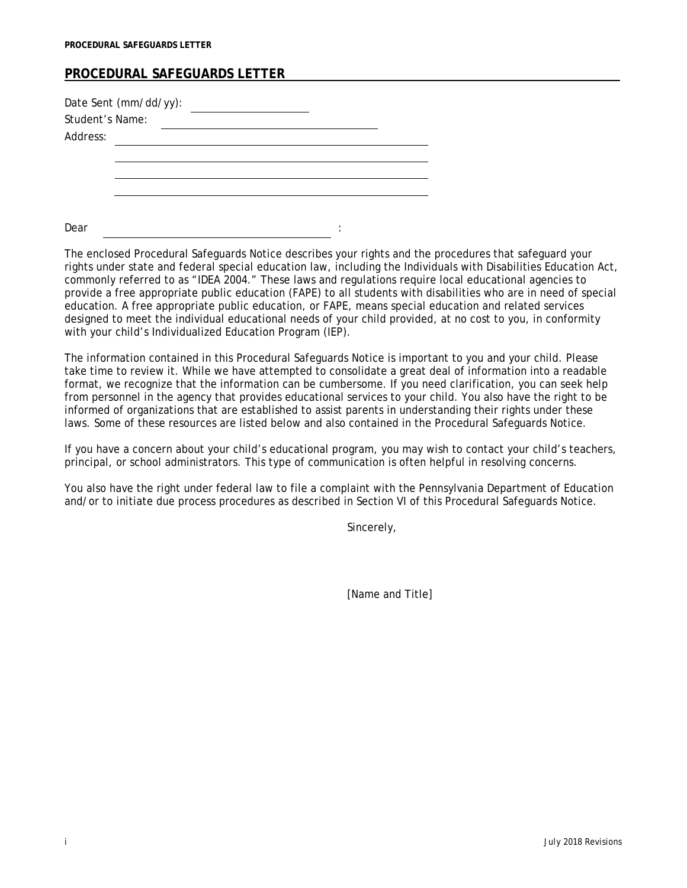## **PROCEDURAL SAFEGUARDS LETTER**

| Date Sent (mm/dd/yy):<br>Student's Name: |  |  |   |  |
|------------------------------------------|--|--|---|--|
| Address:                                 |  |  |   |  |
|                                          |  |  |   |  |
|                                          |  |  |   |  |
|                                          |  |  |   |  |
|                                          |  |  |   |  |
| Dear                                     |  |  | ٠ |  |

The enclosed Procedural Safeguards Notice describes your rights and the procedures that safeguard your rights under state and federal special education law, including the Individuals with Disabilities Education Act, commonly referred to as "IDEA 2004." These laws and regulations require local educational agencies to provide a free appropriate public education (FAPE) to all students with disabilities who are in need of special education. A free appropriate public education, or FAPE, means special education and related services designed to meet the individual educational needs of your child provided, at no cost to you, in conformity with your child's Individualized Education Program (IEP).

The information contained in this Procedural Safeguards Notice is important to you and your child. Please take time to review it. While we have attempted to consolidate a great deal of information into a readable format, we recognize that the information can be cumbersome. If you need clarification, you can seek help from personnel in the agency that provides educational services to your child. You also have the right to be informed of organizations that are established to assist parents in understanding their rights under these laws. Some of these resources are listed below and also contained in the Procedural Safeguards Notice.

If you have a concern about your child's educational program, you may wish to contact your child's teachers, principal, or school administrators. This type of communication is often helpful in resolving concerns.

You also have the right under federal law to file a complaint with the Pennsylvania Department of Education and/or to initiate due process procedures as described in Section VI of this Procedural Safeguards Notice.

Sincerely,

[Name and Title]